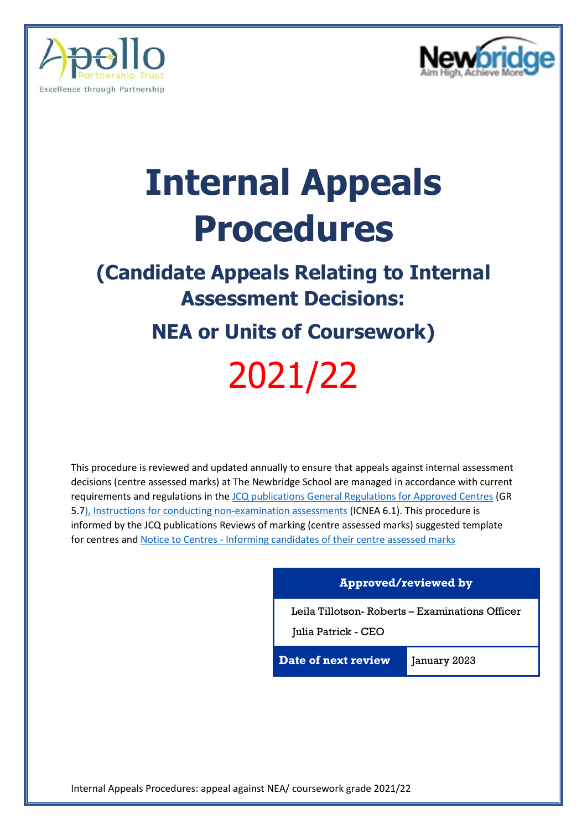



# **Internal Appeals Procedures**

## **(Candidate Appeals Relating to Internal Assessment Decisions:**

## **NEA or Units of Coursework)** 2021/22

This procedure is reviewed and updated annually to ensure that appeals against internal assessment decisions (centre assessed marks) at The Newbridge School are managed in accordance with current requirements and regulations in th[e JCQ publications General Regulations for Approved Centres](https://www.jcq.org.uk/wp-content/uploads/2022/01/Gen_regs_approved_centres_21-22_FINAL.pdf) (GR 5.[7\), Instructions for conducting non-examination assessments](https://www.jcq.org.uk/wp-content/uploads/2022/01/Instructions_NEA_21-22_FINAL.pdf) (ICNEA 6.1). This procedure is informed by the JCQ publications Reviews of marking (centre assessed marks) suggested template for centres and Notice to Centres - [Informing candidates of their centre assessed marks](https://www.jcq.org.uk/wp-content/uploads/2021/06/Notice-to-Centres-Informing-candidates-of-their-centre-assessed-marks-202122-1.pdf)

#### **Approved/reviewed by**

Leila Tillotson- Roberts – Examinations Officer

Julia Patrick - CEO

**Date of next review** January 2023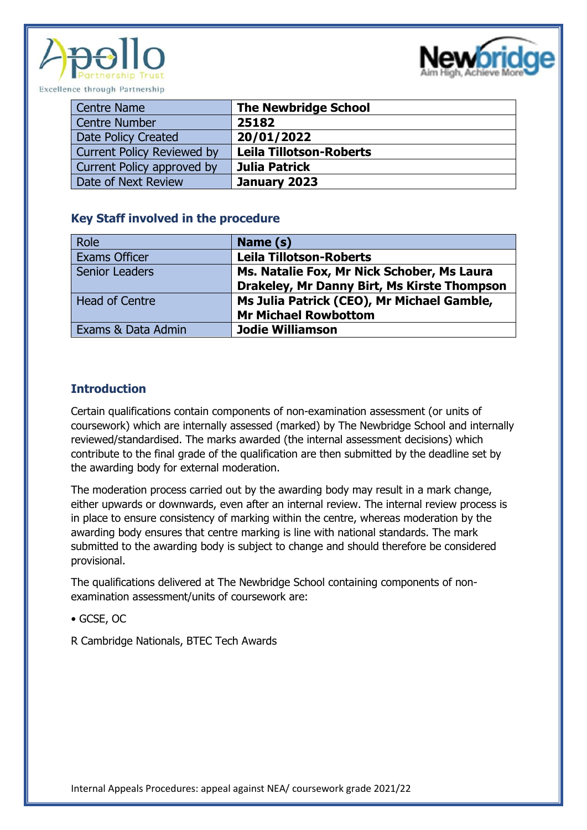



| Centre Name                       | <b>The Newbridge School</b>    |
|-----------------------------------|--------------------------------|
| Centre Number                     | 25182                          |
| Date Policy Created               | 20/01/2022                     |
| <b>Current Policy Reviewed by</b> | <b>Leila Tillotson-Roberts</b> |
| Current Policy approved by        | Julia Patrick                  |
| Date of Next Review               | January 2023                   |

#### **Key Staff involved in the procedure**

| Role                  | Name (s)                                    |
|-----------------------|---------------------------------------------|
| <b>Exams Officer</b>  | <b>Leila Tillotson-Roberts</b>              |
| <b>Senior Leaders</b> | Ms. Natalie Fox, Mr Nick Schober, Ms Laura  |
|                       | Drakeley, Mr Danny Birt, Ms Kirste Thompson |
| <b>Head of Centre</b> | Ms Julia Patrick (CEO), Mr Michael Gamble,  |
|                       | <b>Mr Michael Rowbottom</b>                 |
| Exams & Data Admin    | <b>Jodie Williamson</b>                     |

#### **Introduction**

Certain qualifications contain components of non-examination assessment (or units of coursework) which are internally assessed (marked) by The Newbridge School and internally reviewed/standardised. The marks awarded (the internal assessment decisions) which contribute to the final grade of the qualification are then submitted by the deadline set by the awarding body for external moderation.

The moderation process carried out by the awarding body may result in a mark change, either upwards or downwards, even after an internal review. The internal review process is in place to ensure consistency of marking within the centre, whereas moderation by the awarding body ensures that centre marking is line with national standards. The mark submitted to the awarding body is subject to change and should therefore be considered provisional.

The qualifications delivered at The Newbridge School containing components of nonexamination assessment/units of coursework are:

• GCSE, OC

R Cambridge Nationals, BTEC Tech Awards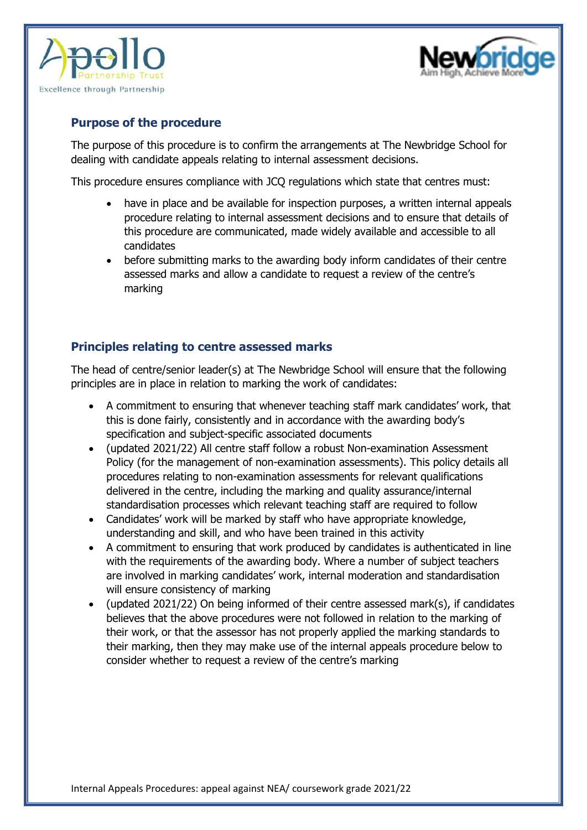



#### **Purpose of the procedure**

The purpose of this procedure is to confirm the arrangements at The Newbridge School for dealing with candidate appeals relating to internal assessment decisions.

This procedure ensures compliance with JCQ regulations which state that centres must:

- have in place and be available for inspection purposes, a written internal appeals procedure relating to internal assessment decisions and to ensure that details of this procedure are communicated, made widely available and accessible to all candidates
- before submitting marks to the awarding body inform candidates of their centre assessed marks and allow a candidate to request a review of the centre's marking

#### **Principles relating to centre assessed marks**

The head of centre/senior leader(s) at The Newbridge School will ensure that the following principles are in place in relation to marking the work of candidates:

- A commitment to ensuring that whenever teaching staff mark candidates' work, that this is done fairly, consistently and in accordance with the awarding body's specification and subject-specific associated documents
- (updated 2021/22) All centre staff follow a robust Non-examination Assessment Policy (for the management of non-examination assessments). This policy details all procedures relating to non-examination assessments for relevant qualifications delivered in the centre, including the marking and quality assurance/internal standardisation processes which relevant teaching staff are required to follow
- Candidates' work will be marked by staff who have appropriate knowledge, understanding and skill, and who have been trained in this activity
- A commitment to ensuring that work produced by candidates is authenticated in line with the requirements of the awarding body. Where a number of subject teachers are involved in marking candidates' work, internal moderation and standardisation will ensure consistency of marking
- (updated 2021/22) On being informed of their centre assessed mark(s), if candidates believes that the above procedures were not followed in relation to the marking of their work, or that the assessor has not properly applied the marking standards to their marking, then they may make use of the internal appeals procedure below to consider whether to request a review of the centre's marking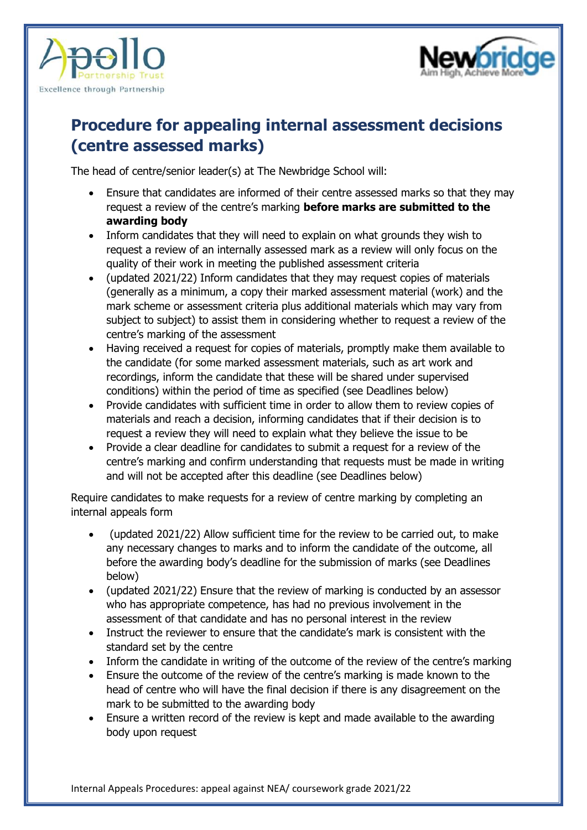



### **Procedure for appealing internal assessment decisions (centre assessed marks)**

The head of centre/senior leader(s) at The Newbridge School will:

- Ensure that candidates are informed of their centre assessed marks so that they may request a review of the centre's marking **before marks are submitted to the awarding body**
- Inform candidates that they will need to explain on what grounds they wish to request a review of an internally assessed mark as a review will only focus on the quality of their work in meeting the published assessment criteria
- (updated 2021/22) Inform candidates that they may request copies of materials (generally as a minimum, a copy their marked assessment material (work) and the mark scheme or assessment criteria plus additional materials which may vary from subject to subject) to assist them in considering whether to request a review of the centre's marking of the assessment
- Having received a request for copies of materials, promptly make them available to the candidate (for some marked assessment materials, such as art work and recordings, inform the candidate that these will be shared under supervised conditions) within the period of time as specified (see Deadlines below)
- Provide candidates with sufficient time in order to allow them to review copies of materials and reach a decision, informing candidates that if their decision is to request a review they will need to explain what they believe the issue to be
- Provide a clear deadline for candidates to submit a request for a review of the centre's marking and confirm understanding that requests must be made in writing and will not be accepted after this deadline (see Deadlines below)

Require candidates to make requests for a review of centre marking by completing an internal appeals form

- (updated 2021/22) Allow sufficient time for the review to be carried out, to make any necessary changes to marks and to inform the candidate of the outcome, all before the awarding body's deadline for the submission of marks (see Deadlines below)
- (updated 2021/22) Ensure that the review of marking is conducted by an assessor who has appropriate competence, has had no previous involvement in the assessment of that candidate and has no personal interest in the review
- Instruct the reviewer to ensure that the candidate's mark is consistent with the standard set by the centre
- Inform the candidate in writing of the outcome of the review of the centre's marking
- Ensure the outcome of the review of the centre's marking is made known to the head of centre who will have the final decision if there is any disagreement on the mark to be submitted to the awarding body
- Ensure a written record of the review is kept and made available to the awarding body upon request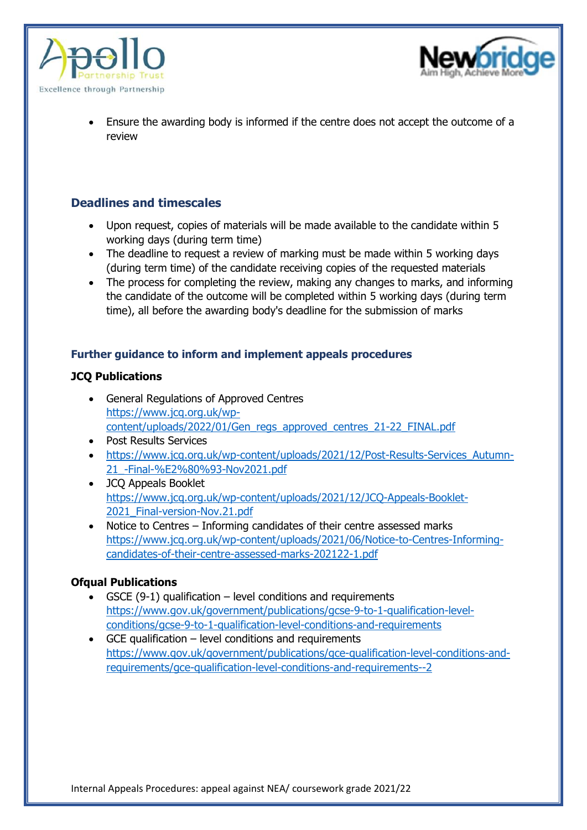



• Ensure the awarding body is informed if the centre does not accept the outcome of a review

#### **Deadlines and timescales**

- Upon request, copies of materials will be made available to the candidate within 5 working days (during term time)
- The deadline to request a review of marking must be made within 5 working days (during term time) of the candidate receiving copies of the requested materials
- The process for completing the review, making any changes to marks, and informing the candidate of the outcome will be completed within 5 working days (during term time), all before the awarding body's deadline for the submission of marks

#### **Further guidance to inform and implement appeals procedures**

#### **JCQ Publications**

- General Regulations of Approved Centres [https://www.jcq.org.uk/wp](https://www.jcq.org.uk/wp-content/uploads/2022/01/Gen_regs_approved_centres_21-22_FINAL.pdf)[content/uploads/2022/01/Gen\\_regs\\_approved\\_centres\\_21-22\\_FINAL.pdf](https://www.jcq.org.uk/wp-content/uploads/2022/01/Gen_regs_approved_centres_21-22_FINAL.pdf)
- Post Results Services • https://www.jcq.org.uk/wp-content/uploads/2021/12/Post-Results-Services Autumn-[21\\_-Final-%E2%80%93-Nov2021.pdf](https://www.jcq.org.uk/wp-content/uploads/2021/12/Post-Results-Services_Autumn-21_-Final-%E2%80%93-Nov2021.pdf)
- JCQ Appeals Booklet [https://www.jcq.org.uk/wp-content/uploads/2021/12/JCQ-Appeals-Booklet-](https://www.jcq.org.uk/wp-content/uploads/2021/12/JCQ-Appeals-Booklet-2021_Final-version-Nov.21.pdf)2021 Final-version-Nov.21.pdf
- Notice to Centres Informing candidates of their centre assessed marks [https://www.jcq.org.uk/wp-content/uploads/2021/06/Notice-to-Centres-Informing](https://www.jcq.org.uk/wp-content/uploads/2021/06/Notice-to-Centres-Informing-candidates-of-their-centre-assessed-marks-202122-1.pdf)[candidates-of-their-centre-assessed-marks-202122-1.pdf](https://www.jcq.org.uk/wp-content/uploads/2021/06/Notice-to-Centres-Informing-candidates-of-their-centre-assessed-marks-202122-1.pdf)

#### **Ofqual Publications**

- GSCE (9-1) qualification level conditions and requirements [https://www.gov.uk/government/publications/gcse-9-to-1-qualification-level](https://www.gov.uk/government/publications/gcse-9-to-1-qualification-level-conditions/gcse-9-to-1-qualification-level-conditions-and-requirements)[conditions/gcse-9-to-1-qualification-level-conditions-and-requirements](https://www.gov.uk/government/publications/gcse-9-to-1-qualification-level-conditions/gcse-9-to-1-qualification-level-conditions-and-requirements)
- GCE qualification level conditions and requirements [https://www.gov.uk/government/publications/gce-qualification-level-conditions-and](https://www.gov.uk/government/publications/gce-qualification-level-conditions-and-requirements/gce-qualification-level-conditions-and-requirements--2)[requirements/gce-qualification-level-conditions-and-requirements--2](https://www.gov.uk/government/publications/gce-qualification-level-conditions-and-requirements/gce-qualification-level-conditions-and-requirements--2)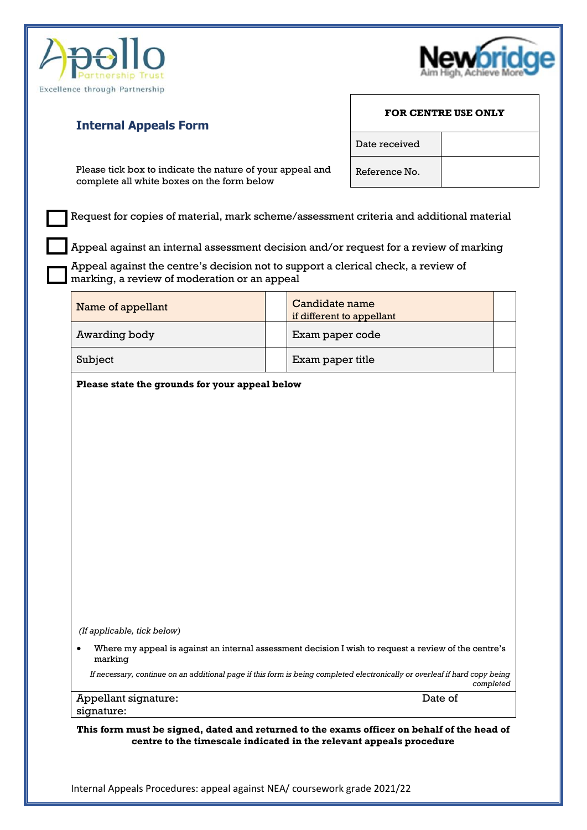



#### **Internal Appeals Form**

Please tick box to indicate the nature of your appeal and complete all white boxes on the form below

Request for copies of material, mark scheme/assessment criteria and additional material

Appeal against an internal assessment decision and/or request for a review of marking

Appeal against the centre's decision not to support a clerical check, a review of marking, a review of moderation or an appeal

| Name of appellant | Candidate name<br>if different to appellant |  |
|-------------------|---------------------------------------------|--|
| Awarding body     | Exam paper code                             |  |
| Subject           | Exam paper title                            |  |

**Please state the grounds for your appeal below**

*(If applicable, tick below)*

• Where my appeal is against an internal assessment decision I wish to request a review of the centre's marking

*If necessary, continue on an additional page if this form is being completed electronically or overleaf if hard copy being completed*

#### Appellant signature:  $\blacksquare$ signature:

**This form must be signed, dated and returned to the exams officer on behalf of the head of centre to the timescale indicated in the relevant appeals procedure**

Internal Appeals Procedures: appeal against NEA/ coursework grade 2021/22

### **FOR CENTRE USE ONLY**

Date received

Reference No.